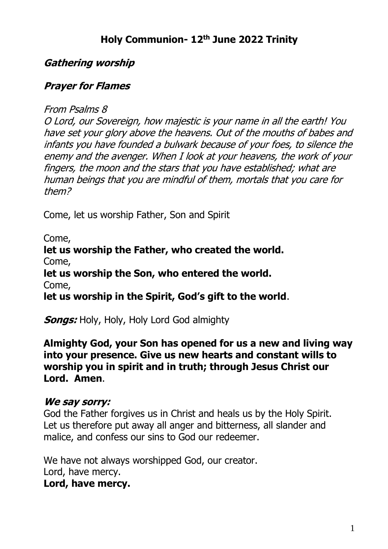# **Holy Communion- 12th June 2022 Trinity**

### **Gathering worship**

#### **Prayer for Flames**

From Psalms 8

O Lord, our Sovereign, how majestic is your name in all the earth! You have set your glory above the heavens. Out of the mouths of babes and infants you have founded a bulwark because of your foes, to silence the enemy and the avenger. When I look at your heavens, the work of your fingers, the moon and the stars that you have established; what are human beings that you are mindful of them, mortals that you care for them?

Come, let us worship Father, Son and Spirit

Come,

**let us worship the Father, who created the world.** Come, **let us worship the Son, who entered the world.** 

Come,

**let us worship in the Spirit, God's gift to the world**.

**Songs:** Holy, Holy, Holy Lord God almighty

**Almighty God, your Son has opened for us a new and living way into your presence. Give us new hearts and constant wills to worship you in spirit and in truth; through Jesus Christ our Lord. Amen**.

#### **We say sorry:**

God the Father forgives us in Christ and heals us by the Holy Spirit. Let us therefore put away all anger and bitterness, all slander and malice, and confess our sins to God our redeemer.

We have not always worshipped God, our creator. Lord, have mercy. **Lord, have mercy.**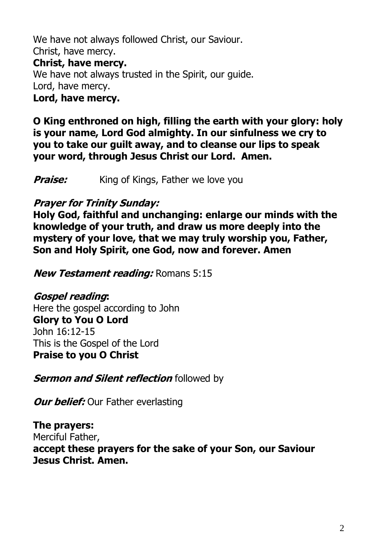We have not always followed Christ, our Saviour. Christ, have mercy. **Christ, have mercy.** We have not always trusted in the Spirit, our guide. Lord, have mercy. **Lord, have mercy.**

**O King enthroned on high, filling the earth with your glory: holy is your name, Lord God almighty. In our sinfulness we cry to you to take our guilt away, and to cleanse our lips to speak your word, through Jesus Christ our Lord. Amen.**

**Praise:** King of Kings, Father we love you

#### **Prayer for Trinity Sunday:**

**Holy God, faithful and unchanging: enlarge our minds with the knowledge of your truth, and draw us more deeply into the mystery of your love, that we may truly worship you, Father, Son and Holy Spirit, one God, now and forever. Amen**

**New Testament reading:** Romans 5:15

**Gospel reading:** Here the gospel according to John **Glory to You O Lord** John 16:12-15 This is the Gospel of the Lord **Praise to you O Christ**

**Sermon and Silent reflection** followed by

*Our belief:* Our Father everlasting

**The prayers:** Merciful Father, **accept these prayers for the sake of your Son, our Saviour Jesus Christ. Amen.**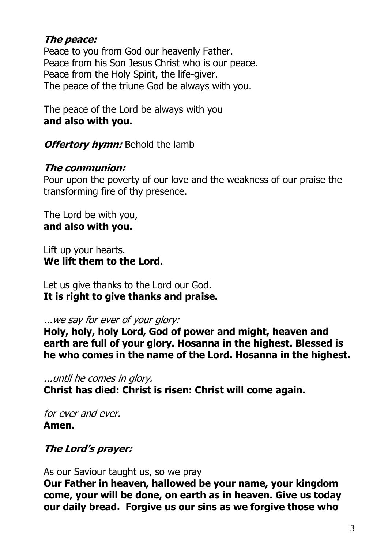### **The peace:**

Peace to you from God our heavenly Father. Peace from his Son Jesus Christ who is our peace. Peace from the Holy Spirit, the life-giver. The peace of the triune God be always with you.

The peace of the Lord be always with you **and also with you.**

**Offertory hymn:** Behold the lamb

### **The communion:**

Pour upon the poverty of our love and the weakness of our praise the transforming fire of thy presence.

The Lord be with you, **and also with you.**

Lift up your hearts. **We lift them to the Lord.**

Let us give thanks to the Lord our God. **It is right to give thanks and praise.**

...we say for ever of your glory:

**Holy, holy, holy Lord, God of power and might, heaven and earth are full of your glory. Hosanna in the highest. Blessed is he who comes in the name of the Lord. Hosanna in the highest.**

...until he comes in glory.

**Christ has died: Christ is risen: Christ will come again.**

for ever and ever. **Amen.**

# **The Lord's prayer:**

As our Saviour taught us, so we pray

**Our Father in heaven, hallowed be your name, your kingdom come, your will be done, on earth as in heaven. Give us today our daily bread. Forgive us our sins as we forgive those who**